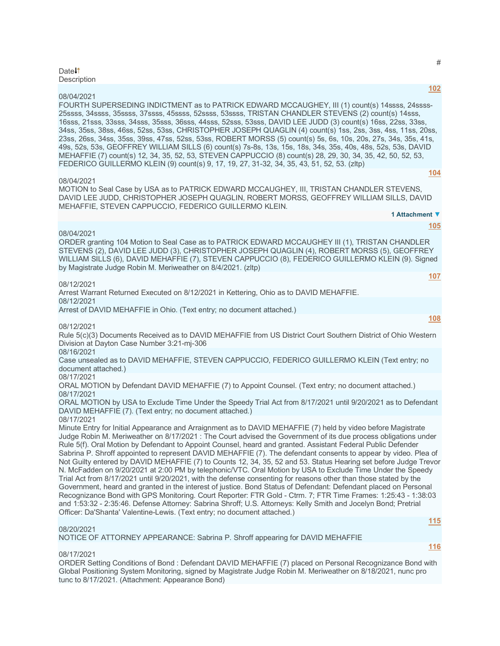### Date<sup>1</sup> **Description**

08/04/2021

FOURTH SUPERSEDING INDICTMENT as to PATRICK EDWARD MCCAUGHEY, III (1) count(s) 14ssss, 24ssss-25ssss, 34ssss, 35ssss, 37ssss, 45ssss, 52ssss, 53ssss, TRISTAN CHANDLER STEVENS (2) count(s) 14sss, 16sss, 21sss, 33sss, 34sss, 35sss, 36sss, 44sss, 52sss, 53sss, DAVID LEE JUDD (3) count(s) 16ss, 22ss, 33ss, 34ss, 35ss, 38ss, 46ss, 52ss, 53ss, CHRISTOPHER JOSEPH QUAGLIN (4) count(s) 1ss, 2ss, 3ss, 4ss, 11ss, 20ss, 23ss, 26ss, 34ss, 35ss, 39ss, 47ss, 52ss, 53ss, ROBERT MORSS (5) count(s) 5s, 6s, 10s, 20s, 27s, 34s, 35s, 41s, 49s, 52s, 53s, GEOFFREY WILLIAM SILLS (6) count(s) 7s-8s, 13s, 15s, 18s, 34s, 35s, 40s, 48s, 52s, 53s, DAVID MEHAFFIE (7) count(s) 12, 34, 35, 52, 53, STEVEN CAPPUCCIO (8) count(s) 28, 29, 30, 34, 35, 42, 50, 52, 53, FEDERICO GUILLERMO KLEIN (9) count(s) 9, 17, 19, 27, 31-32, 34, 35, 43, 51, 52, 53. (zltp)

### 08/04/2021

MOTION to Seal Case by USA as to PATRICK EDWARD MCCAUGHEY, III, TRISTAN CHANDLER STEVENS, DAVID LEE JUDD, CHRISTOPHER JOSEPH QUAGLIN, ROBERT MORSS, GEOFFREY WILLIAM SILLS, DAVID MEHAFFIE, STEVEN CAPPUCCIO, FEDERICO GUILLERMO KLEIN. **1 Attachment ▼**

### 08/04/2021

ORDER granting 104 Motion to Seal Case as to PATRICK EDWARD MCCAUGHEY III (1), TRISTAN CHANDLER STEVENS (2), DAVID LEE JUDD (3), CHRISTOPHER JOSEPH QUAGLIN (4), ROBERT MORSS (5), GEOFFREY WILLIAM SILLS (6), DAVID MEHAFFIE (7), STEVEN CAPPUCCIO (8), FEDERICO GUILLERMO KLEIN (9). Signed by Magistrate Judge Robin M. Meriweather on 8/4/2021. (zltp)

### 08/12/2021

Arrest Warrant Returned Executed on 8/12/2021 in Kettering, Ohio as to DAVID MEHAFFIE. 08/12/2021

Arrest of DAVID MEHAFFIE in Ohio. (Text entry; no document attached.)

08/12/2021

Rule 5(c)(3) Documents Received as to DAVID MEHAFFIE from US District Court Southern District of Ohio Western Division at Dayton Case Number 3:21-mj-306

08/16/2021

Case unsealed as to DAVID MEHAFFIE, STEVEN CAPPUCCIO, FEDERICO GUILLERMO KLEIN (Text entry; no document attached.)

08/17/2021

ORAL MOTION by Defendant DAVID MEHAFFIE (7) to Appoint Counsel. (Text entry; no document attached.) 08/17/2021

ORAL MOTION by USA to Exclude Time Under the Speedy Trial Act from 8/17/2021 until 9/20/2021 as to Defendant DAVID MEHAFFIE (7). (Text entry; no document attached.)

08/17/2021

Minute Entry for Initial Appearance and Arraignment as to DAVID MEHAFFIE (7) held by video before Magistrate Judge Robin M. Meriweather on 8/17/2021 : The Court advised the Government of its due process obligations under Rule 5(f). Oral Motion by Defendant to Appoint Counsel, heard and granted. Assistant Federal Public Defender Sabrina P. Shroff appointed to represent DAVID MEHAFFIE (7). The defendant consents to appear by video. Plea of Not Guilty entered by DAVID MEHAFFIE (7) to Counts 12, 34, 35, 52 and 53. Status Hearing set before Judge Trevor N. McFadden on 9/20/2021 at 2:00 PM by telephonic/VTC. Oral Motion by USA to Exclude Time Under the Speedy Trial Act from 8/17/2021 until 9/20/2021, with the defense consenting for reasons other than those stated by the Government, heard and granted in the interest of justice. Bond Status of Defendant: Defendant placed on Personal Recognizance Bond with GPS Monitoring. Court Reporter: FTR Gold - Ctrm. 7; FTR Time Frames: 1:25:43 - 1:38:03 and 1:53:32 - 2:35:46. Defense Attorney: Sabrina Shroff; U.S. Attorneys: Kelly Smith and Jocelyn Bond; Pretrial Officer: Da'Shanta' Valentine-Lewis. (Text entry; no document attached.)

## 08/20/2021

NOTICE OF ATTORNEY APPEARANCE: Sabrina P. Shroff appearing for DAVID MEHAFFIE

08/17/2021

ORDER Setting Conditions of Bond : Defendant DAVID MEHAFFIE (7) placed on Personal Recognizance Bond with Global Positioning System Monitoring, signed by Magistrate Judge Robin M. Meriweather on 8/18/2021, nunc pro tunc to 8/17/2021. (Attachment: Appearance Bond)

#

**[102](javascript:void(0))**

**[104](javascript:void(0))**

**[105](javascript:void(0))**

**[108](javascript:void(0))**

**[115](javascript:void(0))**

**[116](javascript:void(0))**

**[107](javascript:void(0))**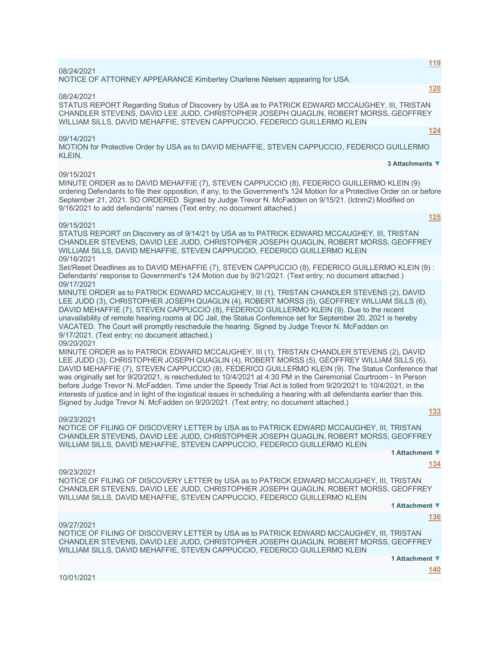NOTICE OF ATTORNEY APPEARANCE Kimberley Charlene Nielsen appearing for USA.

08/24/2021

STATUS REPORT Regarding Status of Discovery by USA as to PATRICK EDWARD MCCAUGHEY, III, TRISTAN CHANDLER STEVENS, DAVID LEE JUDD, CHRISTOPHER JOSEPH QUAGLIN, ROBERT MORSS, GEOFFREY WILLIAM SILLS, DAVID MEHAFFIE, STEVEN CAPPUCCIO, FEDERICO GUILLERMO KLEIN

09/14/2021

MOTION for Protective Order by USA as to DAVID MEHAFFIE, STEVEN CAPPUCCIO, FEDERICO GUILLERMO KLEIN.

#### 09/15/2021

MINUTE ORDER as to DAVID MEHAFFIE (7), STEVEN CAPPUCCIO (8), FEDERICO GUILLERMO KLEIN (9) ordering Defendants to file their opposition, if any, to the Government's 124 Motion for a Protective Order on or before September 21, 2021. SO ORDERED. Signed by Judge Trevor N. McFadden on 9/15/21. (lctnm2) Modified on 9/16/2021 to add defendants' names (Text entry; no document attached.)

#### 09/15/2021

STATUS REPORT on Discovery as of 9/14/21 by USA as to PATRICK EDWARD MCCAUGHEY, III, TRISTAN CHANDLER STEVENS, DAVID LEE JUDD, CHRISTOPHER JOSEPH QUAGLIN, ROBERT MORSS, GEOFFREY WILLIAM SILLS, DAVID MEHAFFIE, STEVEN CAPPUCCIO, FEDERICO GUILLERMO KLEIN 09/16/2021

Set/Reset Deadlines as to DAVID MEHAFFIE (7), STEVEN CAPPUCCIO (8), FEDERICO GUILLERMO KLEIN (9) : Defendants' response to Government's 124 Motion due by 9/21/2021. (Text entry; no document attached.) 09/17/2021

MINUTE ORDER as to PATRICK EDWARD MCCAUGHEY, III (1), TRISTAN CHANDLER STEVENS (2), DAVID LEE JUDD (3), CHRISTOPHER JOSEPH QUAGLIN (4), ROBERT MORSS (5), GEOFFREY WILLIAM SILLS (6), DAVID MEHAFFIE (7), STEVEN CAPPUCCIO (8), FEDERICO GUILLERMO KLEIN (9). Due to the recent unavailability of remote hearing rooms at DC Jail, the Status Conference set for September 20, 2021 is hereby VACATED. The Court will promptly reschedule the hearing. Signed by Judge Trevor N. McFadden on 9/17/2021. (Text entry; no document attached.)

09/20/2021

MINUTE ORDER as to PATRICK EDWARD MCCAUGHEY, III (1), TRISTAN CHANDLER STEVENS (2), DAVID LEE JUDD (3), CHRISTOPHER JOSEPH QUAGLIN (4), ROBERT MORSS (5), GEOFFREY WILLIAM SILLS (6), DAVID MEHAFFIE (7), STEVEN CAPPUCCIO (8), FEDERICO GUILLERMO KLEIN (9). The Status Conference that was originally set for 9/20/2021, is rescheduled to 10/4/2021 at 4:30 PM in the Ceremonial Courtroom - In Person before Judge Trevor N. McFadden. Time under the Speedy Trial Act is tolled from 9/20/2021 to 10/4/2021, in the interests of justice and in light of the logistical issues in scheduling a hearing with all defendants earlier than this. Signed by Judge Trevor N. McFadden on 9/20/2021. (Text entry; no document attached.) **[133](javascript:void(0))**

### 09/23/2021

NOTICE OF FILING OF DISCOVERY LETTER by USA as to PATRICK EDWARD MCCAUGHEY, III, TRISTAN CHANDLER STEVENS, DAVID LEE JUDD, CHRISTOPHER JOSEPH QUAGLIN, ROBERT MORSS, GEOFFREY WILLIAM SILLS, DAVID MEHAFFIE, STEVEN CAPPUCCIO, FEDERICO GUILLERMO KLEIN

**1 Attachment ▼**

### 09/23/2021

NOTICE OF FILING OF DISCOVERY LETTER by USA as to PATRICK EDWARD MCCAUGHEY, III, TRISTAN CHANDLER STEVENS, DAVID LEE JUDD, CHRISTOPHER JOSEPH QUAGLIN, ROBERT MORSS, GEOFFREY WILLIAM SILLS, DAVID MEHAFFIE, STEVEN CAPPUCCIO, FEDERICO GUILLERMO KLEIN

**1 Attachment ▼**

**[136](javascript:void(0))**

**[134](javascript:void(0))**

#### 09/27/2021

NOTICE OF FILING OF DISCOVERY LETTER by USA as to PATRICK EDWARD MCCAUGHEY, III, TRISTAN CHANDLER STEVENS, DAVID LEE JUDD, CHRISTOPHER JOSEPH QUAGLIN, ROBERT MORSS, GEOFFREY WILLIAM SILLS, DAVID MEHAFFIE, STEVEN CAPPUCCIO, FEDERICO GUILLERMO KLEIN

**1 Attachment ▼**

**[140](javascript:void(0))**

10/01/2021

**[120](javascript:void(0))**

**[124](javascript:void(0))**

**[125](javascript:void(0))**

**3 Attachments ▼**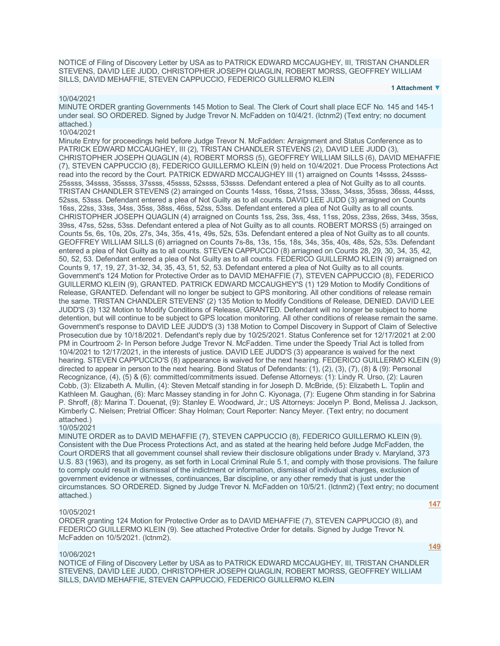NOTICE of Filing of Discovery Letter by USA as to PATRICK EDWARD MCCAUGHEY, III, TRISTAN CHANDLER STEVENS, DAVID LEE JUDD, CHRISTOPHER JOSEPH QUAGLIN, ROBERT MORSS, GEOFFREY WILLIAM SILLS, DAVID MEHAFFIE, STEVEN CAPPUCCIO, FEDERICO GUILLERMO KLEIN

**1 Attachment ▼**

### 10/04/2021

MINUTE ORDER granting Governments 145 Motion to Seal. The Clerk of Court shall place ECF No. 145 and 145-1 under seal. SO ORDERED. Signed by Judge Trevor N. McFadden on 10/4/21. (lctnm2) (Text entry; no document attached.)

## 10/04/2021

Minute Entry for proceedings held before Judge Trevor N. McFadden: Arraignment and Status Conference as to PATRICK EDWARD MCCAUGHEY, III (2), TRISTAN CHANDLER STEVENS (2), DAVID LEE JUDD (3), CHRISTOPHER JOSEPH QUAGLIN (4), ROBERT MORSS (5), GEOFFREY WILLIAM SILLS (6), DAVID MEHAFFIE (7), STEVEN CAPPUCCIO (8), FEDERICO GUILLERMO KLEIN (9) held on 10/4/2021. Due Process Protections Act read into the record by the Court. PATRICK EDWARD MCCAUGHEY III (1) arraigned on Counts 14ssss, 24ssss-25ssss, 34ssss, 35ssss, 37ssss, 45ssss, 52ssss, 53ssss. Defendant entered a plea of Not Guilty as to all counts. TRISTAN CHANDLER STEVENS (2) arrainged on Counts 14sss, 16sss, 21sss, 33sss, 34sss, 35sss, 36sss, 44sss, 52sss, 53sss. Defendant entered a plea of Not Guilty as to all counts. DAVID LEE JUDD (3) arraigned on Counts 16ss, 22ss, 33ss, 34ss, 35ss, 38ss, 46ss, 52ss, 53ss. Defendant entered a plea of Not Guilty as to all counts. CHRISTOPHER JOSEPH QUAGLIN (4) arraigned on Counts 1ss, 2ss, 3ss, 4ss, 11ss, 20ss, 23ss, 26ss, 34ss, 35ss, 39ss, 47ss, 52ss, 53ss. Defendant entered a plea of Not Guilty as to all counts. ROBERT MORSS (5) arrainged on Counts 5s, 6s, 10s, 20s, 27s, 34s, 35s, 41s, 49s, 52s, 53s. Defendant entered a plea of Not Guilty as to all counts. GEOFFREY WILLIAM SILLS (6) arriagned on Counts 7s-8s, 13s, 15s, 18s, 34s, 35s, 40s, 48s, 52s, 53s. Defendant entered a plea of Not Guilty as to all counts. STEVEN CAPPUCCIO (8) arriagned on Counts 28, 29, 30, 34, 35, 42, 50, 52, 53. Defendant entered a plea of Not Guilty as to all counts. FEDERICO GUILLERMO KLEIN (9) arraigned on Counts 9, 17, 19, 27, 31-32, 34, 35, 43, 51, 52, 53. Defendant entered a plea of Not Guilty as to all counts. Government's 124 Motion for Protective Order as to DAVID MEHAFFIE (7), STEVEN CAPPUCCIO (8), FEDERICO GUILLERMO KLEIN (9), GRANTED. PATRICK EDWARD MCCAUGHEY'S (1) 129 Motion to Modify Conditions of Release, GRANTED. Defendant will no longer be subject to GPS monitoring. All other conditions of release remain the same. TRISTAN CHANDLER STEVENS' (2) 135 Motion to Modify Conditions of Release, DENIED. DAVID LEE JUDD'S (3) 132 Motion to Modify Conditions of Release, GRANTED. Defendant will no longer be subject to home detention, but will continue to be subject to GPS location monitoring. All other conditions of release remain the same. Government's response to DAVID LEE JUDD'S (3) 138 Motion to Compel Discovery in Support of Claim of Selective Prosecution due by 10/18/2021. Defendant's reply due by 10/25/2021. Status Conference set for 12/17/2021 at 2:00 PM in Courtroom 2- In Person before Judge Trevor N. McFadden. Time under the Speedy Trial Act is tolled from 10/4/2021 to 12/17/2021, in the interests of justice. DAVID LEE JUDD'S (3) appearance is waived for the next hearing. STEVEN CAPPUCCIO'S (8) appearance is waived for the next hearing. FEDERICO GUILLERMO KLEIN (9) directed to appear in person to the next hearing. Bond Status of Defendants: (1), (2), (3), (7), (8) & (9): Personal Recognizance, (4), (5) & (6): committed/commitments issued. Defense Attorneys: (1): Lindy R. Urso, (2): Lauren Cobb, (3): Elizabeth A. Mullin, (4): Steven Metcalf standing in for Joseph D. McBride, (5): Elizabeth L. Toplin and Kathleen M. Gaughan, (6): Marc Massey standing in for John C. Kiyonaga, (7): Eugene Ohm standing in for Sabrina P. Shroff, (8): Marina T. Douenat, (9): Stanley E. Woodward, Jr.; US Attorneys: Jocelyn P. Bond, Melissa J. Jackson, Kimberly C. Nielsen; Pretrial Officer: Shay Holman; Court Reporter: Nancy Meyer. (Text entry; no document attached.)

### 10/05/2021

MINUTE ORDER as to DAVID MEHAFFIE (7), STEVEN CAPPUCCIO (8), FEDERICO GUILLERMO KLEIN (9). Consistent with the Due Process Protections Act, and as stated at the hearing held before Judge McFadden, the Court ORDERS that all government counsel shall review their disclosure obligations under Brady v. Maryland, 373 U.S. 83 (1963), and its progeny, as set forth in Local Criminal Rule 5.1, and comply with those provisions. The failure to comply could result in dismissal of the indictment or information, dismissal of individual charges, exclusion of government evidence or witnesses, continuances, Bar discipline, or any other remedy that is just under the circumstances. SO ORDERED. Signed by Judge Trevor N. McFadden on 10/5/21. (lctnm2) (Text entry; no document attached.)

### 10/05/2021

ORDER granting 124 Motion for Protective Order as to DAVID MEHAFFIE (7), STEVEN CAPPUCCIO (8), and FEDERICO GUILLERMO KLEIN (9). See attached Protective Order for details. Signed by Judge Trevor N. McFadden on 10/5/2021. (lctnm2).

**[149](javascript:void(0))**

**[147](javascript:void(0))**

### 10/06/2021

NOTICE of Filing of Discovery Letter by USA as to PATRICK EDWARD MCCAUGHEY, III, TRISTAN CHANDLER STEVENS, DAVID LEE JUDD, CHRISTOPHER JOSEPH QUAGLIN, ROBERT MORSS, GEOFFREY WILLIAM SILLS, DAVID MEHAFFIE, STEVEN CAPPUCCIO, FEDERICO GUILLERMO KLEIN